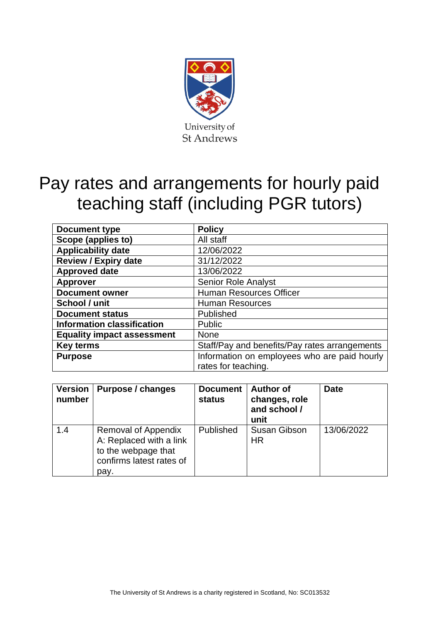

# Pay rates and arrangements for hourly paid teaching staff (including PGR tutors)

| <b>Document type</b>              | <b>Policy</b>                                 |
|-----------------------------------|-----------------------------------------------|
| Scope (applies to)                | All staff                                     |
| <b>Applicability date</b>         | 12/06/2022                                    |
| <b>Review / Expiry date</b>       | 31/12/2022                                    |
| <b>Approved date</b>              | 13/06/2022                                    |
| <b>Approver</b>                   | <b>Senior Role Analyst</b>                    |
| <b>Document owner</b>             | Human Resources Officer                       |
| School / unit                     | <b>Human Resources</b>                        |
| <b>Document status</b>            | Published                                     |
| <b>Information classification</b> | <b>Public</b>                                 |
| <b>Equality impact assessment</b> | None                                          |
| <b>Key terms</b>                  | Staff/Pay and benefits/Pay rates arrangements |
| <b>Purpose</b>                    | Information on employees who are paid hourly  |
|                                   | rates for teaching.                           |

| <b>Version</b><br>number | Purpose / changes                                                                                         | <b>Document</b><br>status | <b>Author of</b><br>changes, role<br>and school /<br>unit | <b>Date</b> |
|--------------------------|-----------------------------------------------------------------------------------------------------------|---------------------------|-----------------------------------------------------------|-------------|
| 1.4                      | Removal of Appendix<br>A: Replaced with a link<br>to the webpage that<br>confirms latest rates of<br>pay. | Published                 | <b>Susan Gibson</b><br><b>HR</b>                          | 13/06/2022  |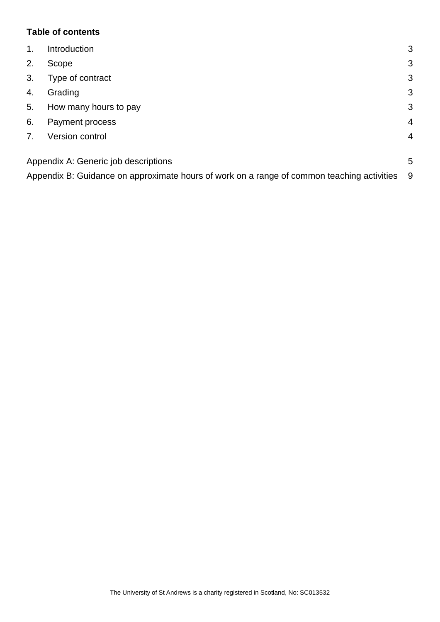## **Table of contents**

| $\mathbf{1}$ . | Introduction                                                                               | 3              |
|----------------|--------------------------------------------------------------------------------------------|----------------|
| 2.             | Scope                                                                                      | 3              |
| 3.             | Type of contract                                                                           | 3              |
| 4.             | Grading                                                                                    | 3              |
| 5.             | How many hours to pay                                                                      | 3              |
| 6.             | Payment process                                                                            | $\overline{4}$ |
| 7 <sub>1</sub> | Version control                                                                            | 4              |
|                | Appendix A: Generic job descriptions                                                       | 5              |
|                | Appendix B: Guidance on approximate hours of work on a range of common teaching activities | -9             |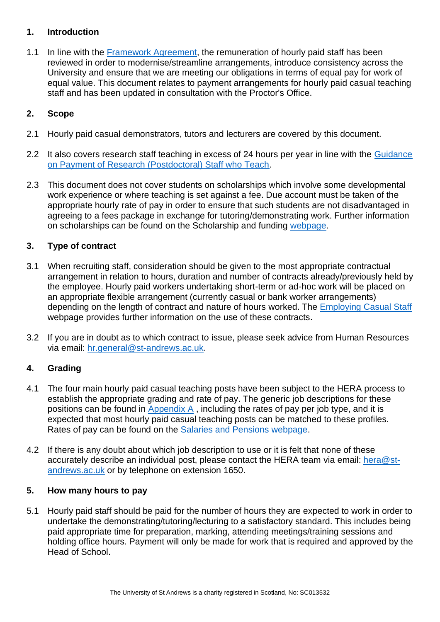# <span id="page-2-0"></span>**1. Introduction**

1.1 In line with the [Framework Agreement,](https://www.st-andrews.ac.uk/hr/gradingrewardandconditions/frameworkagreement/) the remuneration of hourly paid staff has been reviewed in order to modernise/streamline arrangements, introduce consistency across the University and ensure that we are meeting our obligations in terms of equal pay for work of equal value. This document relates to payment arrangements for hourly paid casual teaching staff and has been updated in consultation with the Proctor's Office.

#### <span id="page-2-1"></span>**2. Scope**

- 2.1 Hourly paid casual demonstrators, tutors and lecturers are covered by this document.
- 2.2 It also covers research staff teaching in excess of 24 hours per year in line with the Guidance [on Payment of Research \(Postdoctoral\) Staff who Teach.](https://www.st-andrews.ac.uk/media/human-resources/new-policy-section-documents/paymentofresearchstaffwhoteach/Guidance%20on%20Payment%20of%20Research%20(Postdoctoral)%20Staff%20who%20Teach.pdf)
- 2.3 This document does not cover students on scholarships which involve some developmental work experience or where teaching is set against a fee. Due account must be taken of the appropriate hourly rate of pay in order to ensure that such students are not disadvantaged in agreeing to a fees package in exchange for tutoring/demonstrating work. Further information on scholarships can be found on the Scholarship and funding [webpage.](https://www.st-andrews.ac.uk/study/fees-and-funding/scholarships/)

#### <span id="page-2-2"></span>**3. Type of contract**

- 3.1 When recruiting staff, consideration should be given to the most appropriate contractual arrangement in relation to hours, duration and number of contracts already/previously held by the employee. Hourly paid workers undertaking short-term or ad-hoc work will be placed on an appropriate flexible arrangement (currently casual or bank worker arrangements) depending on the length of contract and nature of hours worked. The [Employing Casual Staff](https://www.st-andrews.ac.uk/hr/salariesandpensions/casualstaff/) webpage provides further information on the use of these contracts.
- 3.2 If you are in doubt as to which contract to issue, please seek advice from Human Resources via email: [hr.general@st-andrews.ac.uk.](mailto:hr.general@st-andrews.ac.uk)

#### <span id="page-2-3"></span>**4. Grading**

- 4.1 The four main hourly paid casual teaching posts have been subject to the HERA process to establish the appropriate grading and rate of pay. The generic job descriptions for these positions can be found in [Appendix A](#page-4-0) , including the rates of pay per job type, and it is expected that most hourly paid casual teaching posts can be matched to these profiles. Rates of pay can be found on the [Salaries and Pensions webpage.](https://www.st-andrews.ac.uk/hr/salariesandpensions/casualstaff/hourlyrates/)
- 4.2 If there is any doubt about which job description to use or it is felt that none of these accurately describe an individual post, please contact the HERA team via email: [hera@st](mailto:hera@st-andrews.ac.uk)[andrews.ac.uk](mailto:hera@st-andrews.ac.uk) or by telephone on extension 1650.

#### <span id="page-2-4"></span>**5. How many hours to pay**

5.1 Hourly paid staff should be paid for the number of hours they are expected to work in order to undertake the demonstrating/tutoring/lecturing to a satisfactory standard. This includes being paid appropriate time for preparation, marking, attending meetings/training sessions and holding office hours. Payment will only be made for work that is required and approved by the Head of School.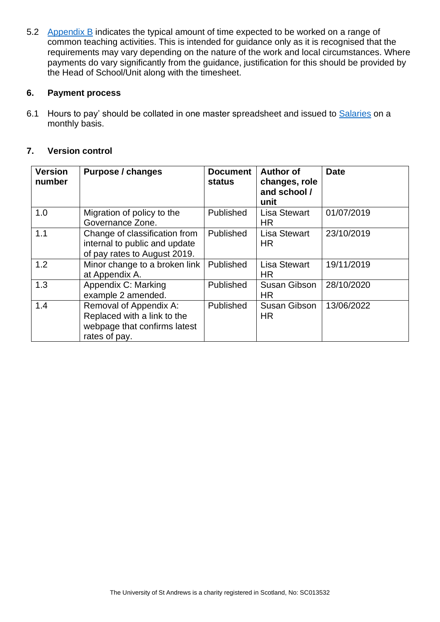5.2 [Appendix B](#page-8-0) indicates the typical amount of time expected to be worked on a range of common teaching activities. This is intended for guidance only as it is recognised that the requirements may vary depending on the nature of the work and local circumstances. Where payments do vary significantly from the guidance, justification for this should be provided by the Head of School/Unit along with the timesheet.

#### <span id="page-3-0"></span>**6. Payment process**

6.1 Hours to pay' should be collated in one master spreadsheet and issued to [Salaries](mailto:ts-salaries@st-andrews.ac.uk) on a monthly basis.

# <span id="page-3-1"></span>**7. Version control**

| <b>Version</b><br>number | <b>Purpose / changes</b>                                                                               | <b>Document</b><br><b>status</b> | <b>Author of</b><br>changes, role<br>and school /<br>unit | <b>Date</b> |
|--------------------------|--------------------------------------------------------------------------------------------------------|----------------------------------|-----------------------------------------------------------|-------------|
| 1.0                      | Migration of policy to the<br>Governance Zone.                                                         | Published                        | <b>Lisa Stewart</b><br><b>HR</b>                          | 01/07/2019  |
| 1.1                      | Change of classification from<br>internal to public and update<br>of pay rates to August 2019.         | Published                        | <b>Lisa Stewart</b><br><b>HR</b>                          | 23/10/2019  |
| 1.2                      | Minor change to a broken link<br>at Appendix A.                                                        | Published                        | <b>Lisa Stewart</b><br><b>HR</b>                          | 19/11/2019  |
| 1.3                      | Appendix C: Marking<br>example 2 amended.                                                              | Published                        | <b>Susan Gibson</b><br><b>HR</b>                          | 28/10/2020  |
| 1.4                      | Removal of Appendix A:<br>Replaced with a link to the<br>webpage that confirms latest<br>rates of pay. | <b>Published</b>                 | <b>Susan Gibson</b><br><b>HR</b>                          | 13/06/2022  |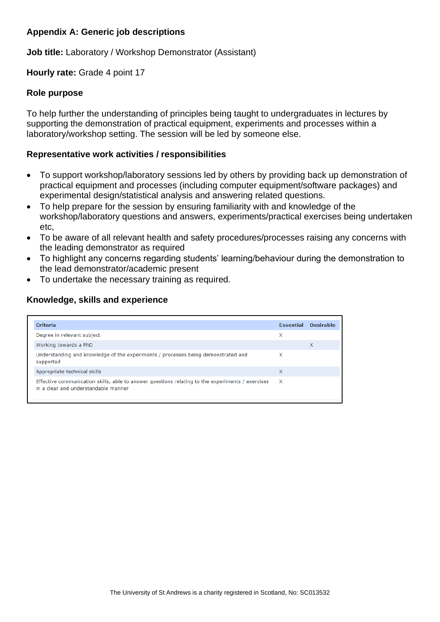# <span id="page-4-0"></span>**Appendix A: Generic job descriptions**

**Job title:** Laboratory / Workshop Demonstrator (Assistant)

**Hourly rate:** Grade 4 point 17

#### **Role purpose**

To help further the understanding of principles being taught to undergraduates in lectures by supporting the demonstration of practical equipment, experiments and processes within a laboratory/workshop setting. The session will be led by someone else.

#### **Representative work activities / responsibilities**

- To support workshop/laboratory sessions led by others by providing back up demonstration of practical equipment and processes (including computer equipment/software packages) and experimental design/statistical analysis and answering related questions.
- To help prepare for the session by ensuring familiarity with and knowledge of the workshop/laboratory questions and answers, experiments/practical exercises being undertaken etc,
- To be aware of all relevant health and safety procedures/processes raising any concerns with the leading demonstrator as required
- To highlight any concerns regarding students' learning/behaviour during the demonstration to the lead demonstrator/academic present
- To undertake the necessary training as required.

| <b>Criteria</b>                                                                                                                          | <b>Essential</b> | <b>Desirable</b> |
|------------------------------------------------------------------------------------------------------------------------------------------|------------------|------------------|
| Degree in relevant subject                                                                                                               | x                |                  |
| Working towards a PhD                                                                                                                    |                  | X                |
| Understanding and knowledge of the experiments / processes being demonstrated and<br>supported                                           | х                |                  |
| Appropriate technical skills                                                                                                             | x                |                  |
| Effective communication skills, able to answer questions relating to the experiments / exercises<br>in a clear and understandable manner | $\mathsf{X}$     |                  |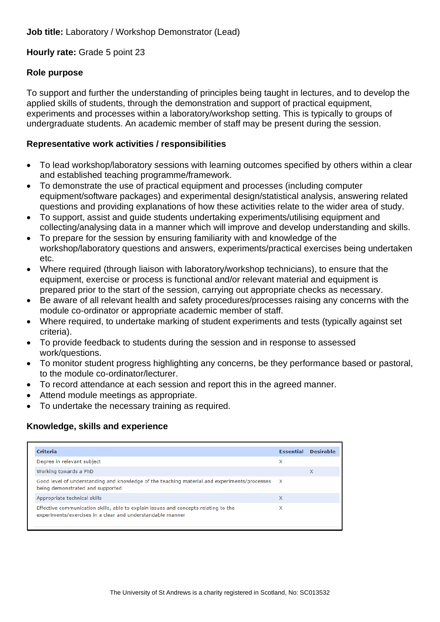#### **Hourly rate:** Grade 5 point 23

#### **Role purpose**

To support and further the understanding of principles being taught in lectures, and to develop the applied skills of students, through the demonstration and support of practical equipment. experiments and processes within a laboratory/workshop setting. This is typically to groups of undergraduate students. An academic member of staff may be present during the session.

#### **Representative work activities / responsibilities**

- To lead workshop/laboratory sessions with learning outcomes specified by others within a clear and established teaching programme/framework.
- To demonstrate the use of practical equipment and processes (including computer equipment/software packages) and experimental design/statistical analysis, answering related questions and providing explanations of how these activities relate to the wider area of study.
- To support, assist and guide students undertaking experiments/utilising equipment and collecting/analysing data in a manner which will improve and develop understanding and skills.
- To prepare for the session by ensuring familiarity with and knowledge of the workshop/laboratory questions and answers, experiments/practical exercises being undertaken etc.
- Where required (through liaison with laboratory/workshop technicians), to ensure that the equipment, exercise or process is functional and/or relevant material and equipment is prepared prior to the start of the session, carrying out appropriate checks as necessary.
- Be aware of all relevant health and safety procedures/processes raising any concerns with the module co-ordinator or appropriate academic member of staff.
- Where required, to undertake marking of student experiments and tests (typically against set criteria).
- To provide feedback to students during the session and in response to assessed work/questions.
- To monitor student progress highlighting any concerns, be they performance based or pastoral, to the module co-ordinator/lecturer.
- To record attendance at each session and report this in the agreed manner.
- Attend module meetings as appropriate.
- To undertake the necessary training as required.

| <b>Criteria</b>                                                                                                                                   | Essential | <b>Desirable</b> |
|---------------------------------------------------------------------------------------------------------------------------------------------------|-----------|------------------|
| Degree in relevant subject                                                                                                                        | x         |                  |
| Working towards a PhD                                                                                                                             |           | x                |
| Good level of understanding and knowledge of the teaching material and experiments/processes X<br>being demonstrated and supported                |           |                  |
| Appropriate technical skills                                                                                                                      | X         |                  |
| Effective communication skills, able to explain issues and concepts relating to the<br>experiments/exercises in a clear and understandable manner | x         |                  |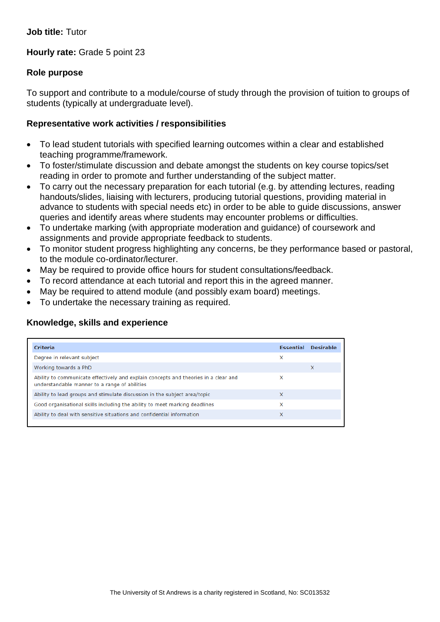#### **Hourly rate:** Grade 5 point 23

#### **Role purpose**

To support and contribute to a module/course of study through the provision of tuition to groups of students (typically at undergraduate level).

#### **Representative work activities / responsibilities**

- To lead student tutorials with specified learning outcomes within a clear and established teaching programme/framework.
- To foster/stimulate discussion and debate amongst the students on key course topics/set reading in order to promote and further understanding of the subject matter.
- To carry out the necessary preparation for each tutorial (e.g. by attending lectures, reading handouts/slides, liaising with lecturers, producing tutorial questions, providing material in advance to students with special needs etc) in order to be able to guide discussions, answer queries and identify areas where students may encounter problems or difficulties.
- To undertake marking (with appropriate moderation and guidance) of coursework and assignments and provide appropriate feedback to students.
- To monitor student progress highlighting any concerns, be they performance based or pastoral, to the module co-ordinator/lecturer.
- May be required to provide office hours for student consultations/feedback.
- To record attendance at each tutorial and report this in the agreed manner.
- May be required to attend module (and possibly exam board) meetings.
- To undertake the necessary training as required.

| Criteria                                                                                                                             | <b>Essential</b> | <b>Desirable</b> |
|--------------------------------------------------------------------------------------------------------------------------------------|------------------|------------------|
| Degree in relevant subject                                                                                                           | x                |                  |
| Working towards a PhD                                                                                                                |                  | x                |
| Ability to communicate effectively and explain concepts and theories in a clear and<br>understandable manner to a range of abilities | x                |                  |
| Ability to lead groups and stimulate discussion in the subject area/topic                                                            | X                |                  |
| Good organisational skills including the ability to meet marking deadlines                                                           | x                |                  |
| Ability to deal with sensitive situations and confidential information                                                               | X                |                  |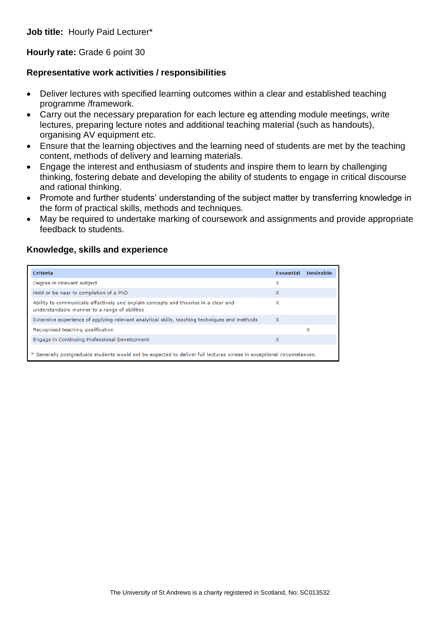**Job title:** Hourly Paid Lecturer\*

**Hourly rate:** Grade 6 point 30

#### **Representative work activities / responsibilities**

- Deliver lectures with specified learning outcomes within a clear and established teaching programme /framework.
- Carry out the necessary preparation for each lecture eg attending module meetings, write lectures, preparing lecture notes and additional teaching material (such as handouts), organising AV equipment etc.
- Ensure that the learning objectives and the learning need of students are met by the teaching content, methods of delivery and learning materials.
- Engage the interest and enthusiasm of students and inspire them to learn by challenging thinking, fostering debate and developing the ability of students to engage in critical discourse and rational thinking.
- Promote and further students' understanding of the subject matter by transferring knowledge in the form of practical skills, methods and techniques.
- May be required to undertake marking of coursework and assignments and provide appropriate feedback to students.

| <b>Criteria</b>                                                                                                                      | <b>Essential</b> | <b>Desirable</b> |  |
|--------------------------------------------------------------------------------------------------------------------------------------|------------------|------------------|--|
| Degree in relevant subject                                                                                                           | x                |                  |  |
| Hold or be near to completion of a PhD                                                                                               | X                |                  |  |
| Ability to communicate effectively and explain concepts and theories in a clear and<br>understandable manner to a range of abilities | x                |                  |  |
| Extensive experience of applying relevant analytical skills, teaching techniques and methods                                         | $\mathsf{x}$     |                  |  |
| Recognised teaching qualification                                                                                                    |                  | x                |  |
| Engage in Continuing Professional Development                                                                                        | X                |                  |  |
| * Generally postgraduate students would not be expected to deliver full lectures unless in exceptional circumstances.                |                  |                  |  |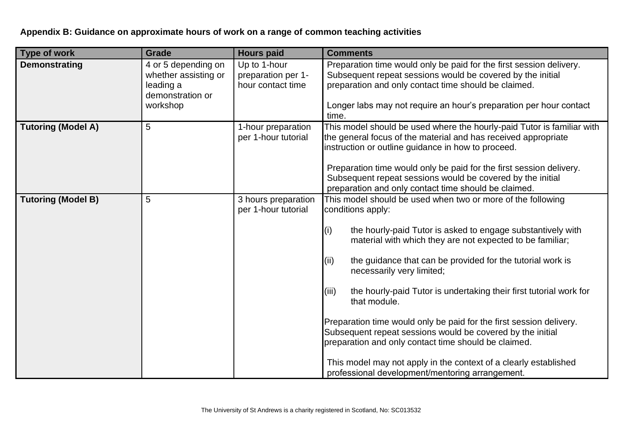# **Appendix B: Guidance on approximate hours of work on a range of common teaching activities**

<span id="page-8-0"></span>

| <b>Type of work</b>       | <b>Grade</b>                                                                             | <b>Hours paid</b>                                       | <b>Comments</b>                                                                                                                                                                                                                                                                                                                                                                                                                                                                                                                                                                                                                                                                                                                           |
|---------------------------|------------------------------------------------------------------------------------------|---------------------------------------------------------|-------------------------------------------------------------------------------------------------------------------------------------------------------------------------------------------------------------------------------------------------------------------------------------------------------------------------------------------------------------------------------------------------------------------------------------------------------------------------------------------------------------------------------------------------------------------------------------------------------------------------------------------------------------------------------------------------------------------------------------------|
| Demonstrating             | 4 or 5 depending on<br>whether assisting or<br>leading a<br>demonstration or<br>workshop | Up to 1-hour<br>preparation per 1-<br>hour contact time | Preparation time would only be paid for the first session delivery.<br>Subsequent repeat sessions would be covered by the initial<br>preparation and only contact time should be claimed.<br>Longer labs may not require an hour's preparation per hour contact<br>time.                                                                                                                                                                                                                                                                                                                                                                                                                                                                  |
| <b>Tutoring (Model A)</b> | 5                                                                                        | 1-hour preparation<br>per 1-hour tutorial               | This model should be used where the hourly-paid Tutor is familiar with<br>the general focus of the material and has received appropriate<br>instruction or outline guidance in how to proceed.<br>Preparation time would only be paid for the first session delivery.<br>Subsequent repeat sessions would be covered by the initial<br>preparation and only contact time should be claimed.                                                                                                                                                                                                                                                                                                                                               |
| <b>Tutoring (Model B)</b> | 5                                                                                        | 3 hours preparation<br>per 1-hour tutorial              | This model should be used when two or more of the following<br>conditions apply:<br>the hourly-paid Tutor is asked to engage substantively with<br>(i)<br>material with which they are not expected to be familiar;<br>(ii)<br>the guidance that can be provided for the tutorial work is<br>necessarily very limited;<br>(iii)<br>the hourly-paid Tutor is undertaking their first tutorial work for<br>that module.<br>Preparation time would only be paid for the first session delivery.<br>Subsequent repeat sessions would be covered by the initial<br>preparation and only contact time should be claimed.<br>This model may not apply in the context of a clearly established<br>professional development/mentoring arrangement. |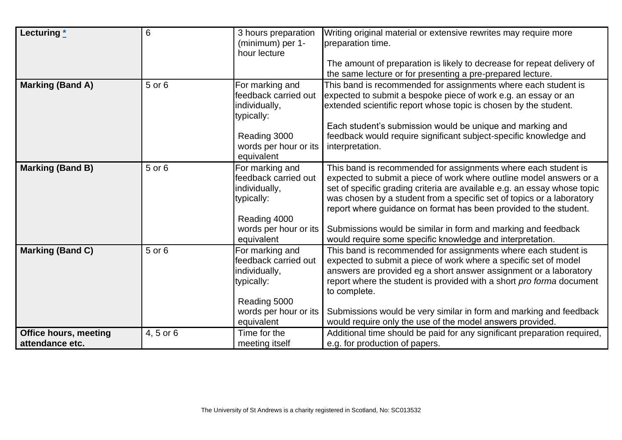| Lecturing $*$                                   | $6\phantom{1}6$ | 3 hours preparation<br>(minimum) per 1-<br>hour lecture                                                                       | Writing original material or extensive rewrites may require more<br>preparation time.                                                                                                                                                                                                                                                                                                                                                                                                         |
|-------------------------------------------------|-----------------|-------------------------------------------------------------------------------------------------------------------------------|-----------------------------------------------------------------------------------------------------------------------------------------------------------------------------------------------------------------------------------------------------------------------------------------------------------------------------------------------------------------------------------------------------------------------------------------------------------------------------------------------|
|                                                 |                 |                                                                                                                               | The amount of preparation is likely to decrease for repeat delivery of<br>the same lecture or for presenting a pre-prepared lecture.                                                                                                                                                                                                                                                                                                                                                          |
| <b>Marking (Band A)</b>                         | 5 or 6          | For marking and<br>feedback carried out<br>individually,<br>typically:<br>Reading 3000<br>words per hour or its<br>equivalent | This band is recommended for assignments where each student is<br>expected to submit a bespoke piece of work e.g. an essay or an<br>extended scientific report whose topic is chosen by the student.<br>Each student's submission would be unique and marking and<br>feedback would require significant subject-specific knowledge and<br>interpretation.                                                                                                                                     |
| <b>Marking (Band B)</b>                         | 5 or 6          | For marking and<br>feedback carried out<br>individually,<br>typically:<br>Reading 4000<br>words per hour or its<br>equivalent | This band is recommended for assignments where each student is<br>expected to submit a piece of work where outline model answers or a<br>set of specific grading criteria are available e.g. an essay whose topic<br>was chosen by a student from a specific set of topics or a laboratory<br>report where guidance on format has been provided to the student.<br>Submissions would be similar in form and marking and feedback<br>would require some specific knowledge and interpretation. |
| Marking (Band C)                                | 5 or 6          | For marking and<br>feedback carried out<br>individually,<br>typically:<br>Reading 5000<br>words per hour or its<br>equivalent | This band is recommended for assignments where each student is<br>expected to submit a piece of work where a specific set of model<br>answers are provided eg a short answer assignment or a laboratory<br>report where the student is provided with a short pro forma document<br>to complete.<br>Submissions would be very similar in form and marking and feedback<br>would require only the use of the model answers provided.                                                            |
| <b>Office hours, meeting</b><br>attendance etc. | 4, 5 or 6       | Time for the<br>meeting itself                                                                                                | Additional time should be paid for any significant preparation required,<br>e.g. for production of papers.                                                                                                                                                                                                                                                                                                                                                                                    |